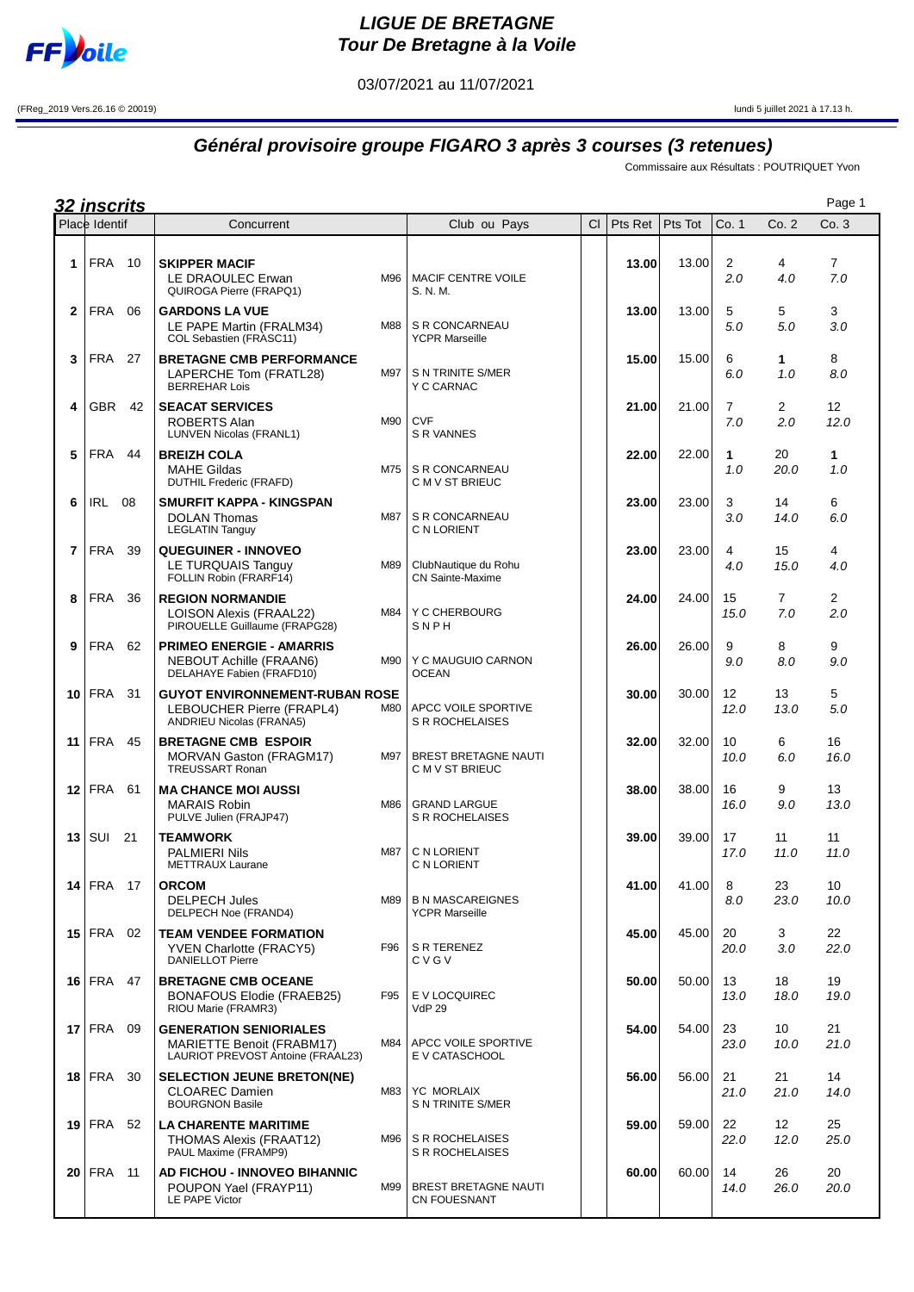

## **LIGUE DE BRETAGNE Tour De Bretagne à la Voile**

03/07/2021 au 11/07/2021

(FReg\_2019 Vers.26.16 © 20019) lundi 5 juillet 2021 à 17.13 h.

## **Général provisoire groupe FIGARO 3 après 3 courses (3 retenues)**

Commissaire aux Résultats : POUTRIQUET Yvon

|                | <u>32 inscrits</u> |     |                                                                                                 |     |                                                  |           |         |         |                       |                         | Page 1                |
|----------------|--------------------|-----|-------------------------------------------------------------------------------------------------|-----|--------------------------------------------------|-----------|---------|---------|-----------------------|-------------------------|-----------------------|
|                | Place Identif      |     | Concurrent                                                                                      |     | Club ou Pays                                     | <b>CI</b> | Pts Ret | Pts Tot | Co. 1                 | Co. 2                   | Co. 3                 |
| 1              | FRA                | 10  | <b>SKIPPER MACIF</b><br>LE DRAOULEC Erwan<br>QUIROGA Pierre (FRAPQ1)                            | M96 | <b>MACIF CENTRE VOILE</b><br>S. N. M.            |           | 13.00   | 13.00   | 2<br>2.0              | 4<br>4.0                | $\overline{7}$<br>7.0 |
| $\mathbf{2}$   | FRA                | 06  | <b>GARDONS LA VUE</b><br>LE PAPE Martin (FRALM34)<br>COL Sebastien (FRASC11)                    | M88 | S R CONCARNEAU<br><b>YCPR Marseille</b>          |           | 13.00   | 13.00   | 5<br>5.0              | 5<br>5.0                | 3<br>3.0              |
| 3              | <b>FRA</b>         | 27  | <b>BRETAGNE CMB PERFORMANCE</b><br>LAPERCHE Tom (FRATL28)<br><b>BERREHAR Lois</b>               | M97 | S N TRINITE S/MER<br>Y C CARNAC                  |           | 15.00   | 15.00   | 6<br>6.0              | $\mathbf{1}$<br>1.0     | 8<br>8.0              |
| 4              | <b>GBR</b>         | 42  | <b>SEACAT SERVICES</b><br>ROBERTS Alan<br><b>LUNVEN Nicolas (FRANL1)</b>                        | M90 | <b>CVF</b><br><b>S R VANNES</b>                  |           | 21.00   | 21.00   | $\overline{7}$<br>7.0 | $\overline{2}$<br>2.0   | 12<br>12.0            |
| 5              | <b>FRA</b>         | 44  | <b>BREIZH COLA</b><br><b>MAHE Gildas</b><br><b>DUTHIL Frederic (FRAFD)</b>                      | M75 | S R CONCARNEAU<br>C M V ST BRIEUC                |           | 22.00   | 22.00   | 1<br>1.0              | 20<br>20.0              | 1<br>1.0              |
| 6              | <b>IRL</b>         | 08  | SMURFIT KAPPA - KINGSPAN<br><b>DOLAN Thomas</b><br><b>LEGLATIN Tanguy</b>                       | M87 | S R CONCARNEAU<br>C N LORIENT                    |           | 23.00   | 23.00   | 3<br>3.0              | 14<br>14.0              | 6<br>6.0              |
| $\overline{7}$ | <b>FRA</b>         | 39  | <b>QUEGUINER - INNOVEO</b><br>LE TURQUAIS Tanguy<br>FOLLIN Robin (FRARF14)                      | M89 | ClubNautique du Rohu<br><b>CN Sainte-Maxime</b>  |           | 23.00   | 23.00   | 4<br>4.0              | 15<br>15.0              | 4<br>4.0              |
| 8              | <b>FRA</b>         | 36  | <b>REGION NORMANDIE</b><br><b>LOISON Alexis (FRAAL22)</b><br>PIROUELLE Guillaume (FRAPG28)      | M84 | Y C CHERBOURG<br>SNPH                            |           | 24.00   | 24.00   | 15<br>15.0            | $\overline{7}$<br>7.0   | $\overline{2}$<br>2.0 |
| 9              | <b>FRA</b>         | 62  | <b>PRIMEO ENERGIE - AMARRIS</b><br>NEBOUT Achille (FRAAN6)<br>DELAHAYE Fabien (FRAFD10)         | M90 | Y C MAUGUIO CARNON<br><b>OCEAN</b>               |           | 26.00   | 26.00   | 9<br>9.0              | 8<br>8.0                | 9<br>9.0              |
|                | $10$ FRA           | 31  | <b>GUYOT ENVIRONNEMENT-RUBAN ROSE</b><br>LEBOUCHER Pierre (FRAPL4)<br>ANDRIEU Nicolas (FRANA5)  | M80 | APCC VOILE SPORTIVE<br>S R ROCHELAISES           |           | 30.00   | 30.00   | 12<br>12.0            | 13<br>13.0              | 5<br>5.0              |
| 11             | <b>FRA</b>         | 45  | <b>BRETAGNE CMB ESPOIR</b><br><b>MORVAN Gaston (FRAGM17)</b><br><b>TREUSSART Ronan</b>          | M97 | BREST BRETAGNE NAUTI<br>C M V ST BRIEUC          |           | 32.00   | 32.00   | 10<br>10.0            | 6<br>6.0                | 16<br>16.0            |
|                | $12$ FRA           | 61  | <b>MA CHANCE MOI AUSSI</b><br><b>MARAIS Robin</b><br>PULVE Julien (FRAJP47)                     | M86 | <b>GRAND LARGUE</b><br>S R ROCHELAISES           |           | 38.00   | 38.00   | 16<br>16.0            | 9<br>9.0                | 13<br>13.0            |
| 13             | <b>SUI</b>         | 21  | <b>TEAMWORK</b><br><b>PALMIERI Nils</b><br><b>METTRAUX Laurane</b>                              | M87 | C N LORIENT<br>C N LORIENT                       |           | 39.00   | 39.00   | 17<br>17.0            | 11<br>11.0              | 11<br>11.0            |
|                | $14$ FRA 17        |     | <b>ORCOM</b><br><b>DELPECH Jules</b><br>DELPECH Noe (FRAND4)                                    | M89 | <b>B N MASCAREIGNES</b><br><b>YCPR Marseille</b> |           | 41.00   | 41.00   | 8<br>8.0              | 23<br>23.0              | 10<br>10.0            |
|                | 15   FRA           | 02  | <b>TEAM VENDEE FORMATION</b><br><b>YVEN Charlotte (FRACY5)</b><br><b>DANIELLOT Pierre</b>       | F96 | S R TERENEZ<br>CVGV                              |           | 45.00   | 45.00   | 20<br>20.0            | 3<br>3.0                | 22<br>22.0            |
|                | $16$ FRA           | 47  | <b>BRETAGNE CMB OCEANE</b><br><b>BONAFOUS Elodie (FRAEB25)</b><br>RIOU Marie (FRAMR3)           | F95 | E V LOCQUIREC<br><b>VdP 29</b>                   |           | 50.00   | 50.00   | 13<br>13.0            | 18<br>18.0              | 19<br>19.0            |
|                | 17 $FRA$           | 09  | <b>GENERATION SENIORIALES</b><br>MARIETTE Benoit (FRABM17)<br>LAURIOT PREVOST Antoine (FRAAL23) | M84 | APCC VOILE SPORTIVE<br>E V CATASCHOOL            |           | 54.00   | 54.00   | 23<br>23.0            | 10<br>10.0              | 21<br>21.0            |
|                | $18$ FRA           | 30  | <b>SELECTION JEUNE BRETON(NE)</b><br><b>CLOAREC Damien</b><br><b>BOURGNON Basile</b>            | M83 | <b>YC MORLAIX</b><br>S N TRINITE S/MER           |           | 56.00   | 56.00   | 21<br>21.0            | 21<br>21.0              | 14<br>14.0            |
|                | $19$ FRA           | 52  | <b>LA CHARENTE MARITIME</b><br>THOMAS Alexis (FRAAT12)<br>PAUL Maxime (FRAMP9)                  | M96 | S R ROCHELAISES<br>S R ROCHELAISES               |           | 59.00   | 59.00   | 22<br>22.0            | 12 <sup>°</sup><br>12.0 | 25<br>25.0            |
|                | $20$ FRA           | -11 | <b>AD FICHOU - INNOVEO BIHANNIC</b><br>POUPON Yael (FRAYP11)<br>LE PAPE Victor                  | M99 | BREST BRETAGNE NAUTI<br><b>CN FOUESNANT</b>      |           | 60.00   | 60.00   | 14<br>14.0            | 26<br>26.0              | 20<br>20.0            |